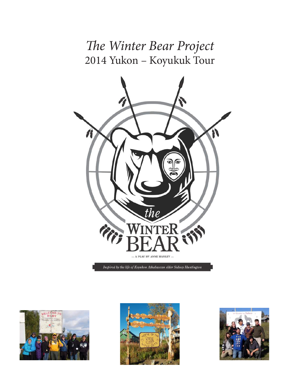# *The Winter Bear Project* 2014 Yukon – Koyukuk Tour



Inspired by the life of Koyukon Athabascan elder Sidney Huntington





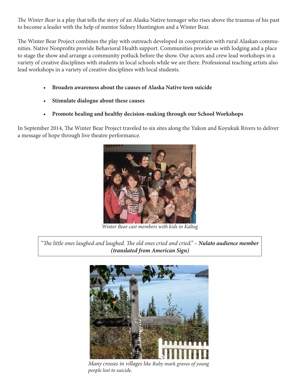*The Winter Bear* is a play that tells the story of an Alaska Native teenager who rises above the traumas of his past to become a leader with the help of mentor Sidney Huntington and a Winter Bear.

The Winter Bear Project combines the play with outreach developed in cooperation with rural Alaskan communities. Native Nonprofits provide Behavioral Health support. Communities provide us with lodging and a place to stage the show and arrange a community potluck before the show. Our actors and crew lead workshops in a variety of creative disciplines with students in local schools while we are there. Professional teaching artists also lead workshops in a variety of creative disciplines with local students.

- **• Broaden awareness about the causes of Alaska Native teen suicide**
- **• Stimulate dialogue about these causes**
- **• Promote healing and healthy decision-making through our School Workshops**

In September 2014, The Winter Bear Project traveled to six sites along the Yukon and Koyukuk Rivers to deliver a message of hope through live theatre performance.



*Winter Bear cast members with kids in Kaltag*

"*The little ones laughed and laughed. The old ones cried and cried." – Nulato audience member (translated from American Sign)*



*Many crosses in villages like Ruby mark graves of young people lost to suicide.*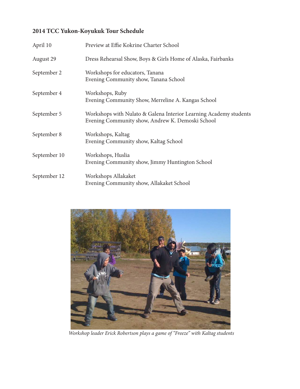### **2014 TCC Yukon-Koyukuk Tour Schedule**

| April 10     | Preview at Effie Kokrine Charter School                                                                               |
|--------------|-----------------------------------------------------------------------------------------------------------------------|
| August 29    | Dress Rehearsal Show, Boys & Girls Home of Alaska, Fairbanks                                                          |
| September 2  | Workshops for educators, Tanana<br>Evening Community show, Tanana School                                              |
| September 4  | Workshops, Ruby<br>Evening Community Show, Merreline A. Kangas School                                                 |
| September 5  | Workshops with Nulato & Galena Interior Learning Academy students<br>Evening Community show, Andrew K. Demoski School |
| September 8  | Workshops, Kaltag<br>Evening Community show, Kaltag School                                                            |
| September 10 | Workshops, Huslia<br>Evening Community show, Jimmy Huntington School                                                  |
| September 12 | Workshops Allakaket<br>Evening Community show, Allakaket School                                                       |



 *Workshop leader Erick Robertson plays a game of "Freeze" with Kaltag students*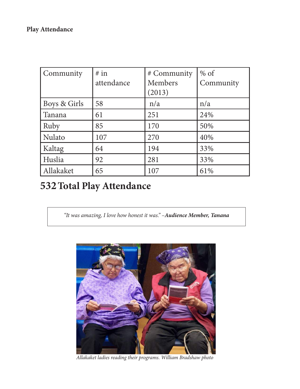| Community    | # in<br>attendance | # Community<br><b>Members</b><br>(2013) | $%$ of<br>Community |
|--------------|--------------------|-----------------------------------------|---------------------|
| Boys & Girls | 58                 | n/a                                     | n/a                 |
| Tanana       | 61                 | 251                                     | 24%                 |
| Ruby         | 85                 | 170                                     | 50%                 |
| Nulato       | 107                | 270                                     | 40%                 |
| Kaltag       | 64                 | 194                                     | 33%                 |
| Huslia       | 92                 | 281                                     | 33%                 |
| Allakaket    | 65                 | 107                                     | 61%                 |

## **532Total Play Attendance**

*"It was amazing, I love how honest it was." –Audience Member, Tanana*



*Allakaket ladies reading their programs. William Bradshaw photo*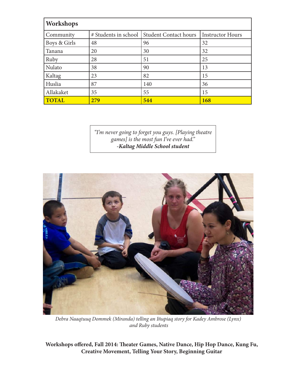| Workshops    |                      |                              |                         |  |  |  |
|--------------|----------------------|------------------------------|-------------------------|--|--|--|
| Community    | # Students in school | <b>Student Contact hours</b> | <b>Instructor Hours</b> |  |  |  |
| Boys & Girls | 48                   | 96                           | 32                      |  |  |  |
| Tanana       | 20                   | 30                           | 32                      |  |  |  |
| Ruby         | 28                   | 51                           | 25                      |  |  |  |
| Nulato       | 38                   | 90                           | 13                      |  |  |  |
| Kaltag       | 23                   | 82                           | 15                      |  |  |  |
| Huslia       | 87                   | 140                          | 36                      |  |  |  |
| Allakaket    | 35                   | 55                           | 15                      |  |  |  |
| <b>TOTAL</b> | 279                  | 544                          | 168                     |  |  |  |

*"I'm never going to forget you guys. [Playing theatre games] is the most fun I've ever had." -Kaltag Middle School student*



*Debra Naaqtuuq Dommek (Miranda) telling an Iñupiaq story for Kadey Ambrose (Lynx) and Ruby students*

**Workshops offered, Fall 2014: Theater Games, Native Dance, Hip Hop Dance, Kung Fu, Creative Movement, Telling Your Story, Beginning Guitar**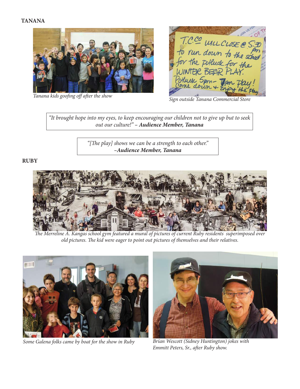#### **TANANA**



*Tanana kids goofing off after the show Sign outside Tanana Commercial Store*

T.C.CO WILL CLOSE @ 5:30<br>To run down to the school<br>for the polluck for the<br>WINTER BEAR PLAY.

*"It brought hope into my eyes, to keep encouraging our children not to give up but to seek out our culture!" – Audience Member, Tanana*

> *"[The play] shows we can be a strength to each other." –Audience Member, Tanana*

#### **RUBY**



*The Merreline A. Kangas school gym featured a mural of pictures of current Ruby residents superimposed over old pictures. The kid were eager to point out pictures of themselves and their relatives.*



*Some Galena folks came by boat for the show in Ruby Brían Wescott (Sidney Huntington) jokes with* 



*Emmitt Peters, Sr., after Ruby show.*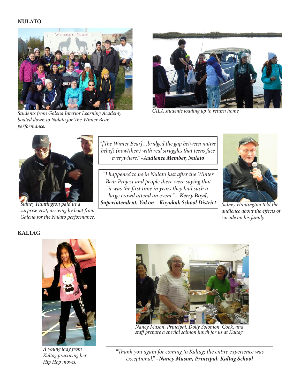#### **NULATO**



*Students from Galena Interior Learning Academy boated down to Nulato for The Winter Bear performance.*



*GILA students loading up to return home*



*Sidney Huntington paid us a surprise visit, arriving by boat from Galena for the Nulato performance.*

*"[The Winter Bear]…bridged the gap between native beliefs (now/then) with real struggles that teens face everywhere." –Audience Member, Nulato*

*"I happened to be in Nulato just after the Winter Bear Project and people there were saying that it was the first time in years they had such a large crowd attend an event." – Kerry Boyd, Superintendent, Yukon – Koyukuk School District*



*Sidney Huntington told the audience about the effects of suicide on his family.*

#### **KALTAG**



*A young lady from Kaltag practicing her Hip Hop moves.*



*Nancy Mason, Principal, Dolly Solomon, Cook, and staff prepare a special salmon lunch for us at Kaltag.* 

*"Thank you again for coming to Kaltag; the entire experience was exceptional." –Nancy Mason, Principal, Kaltag School*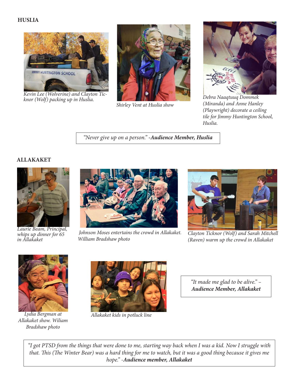#### **HUSLIA**



*Kevin Lee (Wolverine) and Clayton Tic- knor (Wolf) packing up in Huslia.*



*Shirley Vent at Huslia show*



*Debra Naaqtuuq Dommek (Miranda) and Anne Hanley (Playwright) decorate a ceiling tile for Jimmy Huntington School, Huslia.*

*"Never give up on a person." -Audience Member, Huslia*

#### **ALLAKAKET**



*Laurie Beam, Principal, whips up dinner for 65 in Allakaket*



 *Johnson Moses entertains the crowd in Allakaket. William Bradshaw photo*



*Clayton Ticknor (Wolf) and Sarah Mitchell (Raven) warm up the crowd in Allakaket*



*Lydia Bergman at Allakaket show. Wiliam Bradshaw photo*



*Allakaket kids in potluck line*

*"It made me glad to be alive." – Audience Member, Allakaket*

*"I got PTSD from the things that were done to me, starting way back when I was a kid. Now I struggle with that. This (The Winter Bear) was a hard thing for me to watch, but it was a good thing because it gives me hope."* -*Audience member, Allakaket*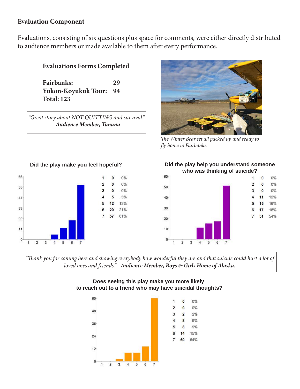#### **Evaluation Component**

Evaluations, consisting of six questions plus space for comments, were either directly distributed to audience members or made available to them after every performance.

#### **Evaluations Forms Completed**

**Fairbanks: 29 Yukon-Koyukuk Tour: 94 Total: 123**

*"Great story about NOT QUITTING and survival." –Audience Member, Tanana*



*The Winter Bear set all packed up and ready to fly home to Fairbanks.*



**Did the play make you feel hopeful? Did the play help you understand someone** 





*"Thank you for coming here and showing everybody how wonderful they are and that suicide could hurt a lot of loved ones and friends." –Audience Member, Boys & Girls Home of Alaska.*

#### **Does seeing this play make you more likely to reach out to a friend who may have suicidal thoughts?**